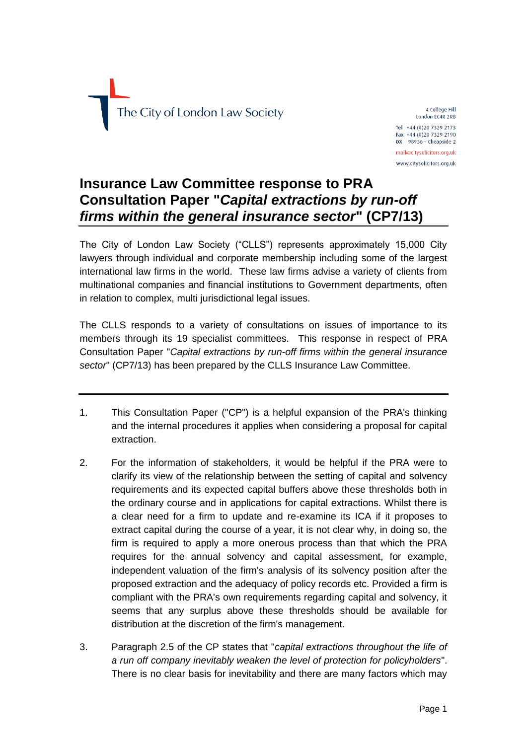

4 College Hill London EC4R 2RB Tel +44 (0)20 7329 2173 Fax +44 (0)20 7329 2190  $DX$  98936 - Cheapside 2 mail@citysolicitors.org.uk www.citysolicitors.org.uk

## **Insurance Law Committee response to PRA Consultation Paper "***Capital extractions by run-off firms within the general insurance sector***" (CP7/13)**

The City of London Law Society ("CLLS") represents approximately 15,000 City lawyers through individual and corporate membership including some of the largest international law firms in the world. These law firms advise a variety of clients from multinational companies and financial institutions to Government departments, often in relation to complex, multi jurisdictional legal issues.

The CLLS responds to a variety of consultations on issues of importance to its members through its 19 specialist committees. This response in respect of PRA Consultation Paper "*Capital extractions by run-off firms within the general insurance sector*" (CP7/13) has been prepared by the CLLS Insurance Law Committee.

- 1. This Consultation Paper ("CP") is a helpful expansion of the PRA's thinking and the internal procedures it applies when considering a proposal for capital extraction.
- 2. For the information of stakeholders, it would be helpful if the PRA were to clarify its view of the relationship between the setting of capital and solvency requirements and its expected capital buffers above these thresholds both in the ordinary course and in applications for capital extractions. Whilst there is a clear need for a firm to update and re-examine its ICA if it proposes to extract capital during the course of a year, it is not clear why, in doing so, the firm is required to apply a more onerous process than that which the PRA requires for the annual solvency and capital assessment, for example, independent valuation of the firm's analysis of its solvency position after the proposed extraction and the adequacy of policy records etc. Provided a firm is compliant with the PRA's own requirements regarding capital and solvency, it seems that any surplus above these thresholds should be available for distribution at the discretion of the firm's management.
- 3. Paragraph 2.5 of the CP states that "*capital extractions throughout the life of a run off company inevitably weaken the level of protection for policyholders*". There is no clear basis for inevitability and there are many factors which may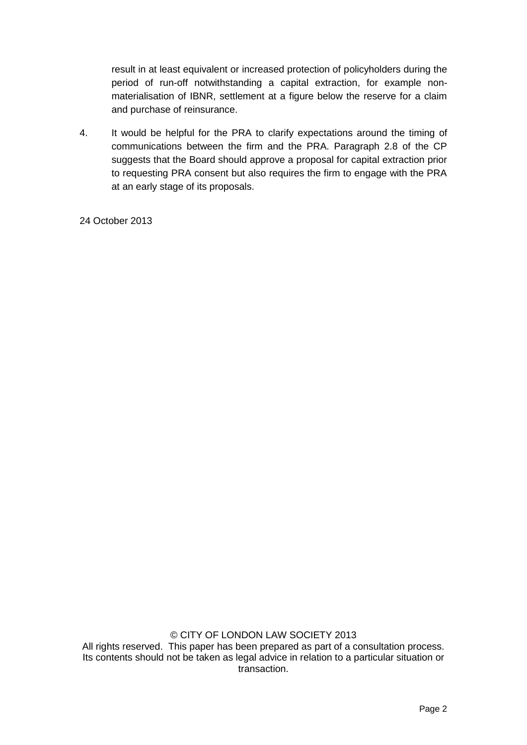result in at least equivalent or increased protection of policyholders during the period of run-off notwithstanding a capital extraction, for example nonmaterialisation of IBNR, settlement at a figure below the reserve for a claim and purchase of reinsurance.

4. It would be helpful for the PRA to clarify expectations around the timing of communications between the firm and the PRA. Paragraph 2.8 of the CP suggests that the Board should approve a proposal for capital extraction prior to requesting PRA consent but also requires the firm to engage with the PRA at an early stage of its proposals.

24 October 2013

© CITY OF LONDON LAW SOCIETY 2013

All rights reserved. This paper has been prepared as part of a consultation process. Its contents should not be taken as legal advice in relation to a particular situation or transaction.